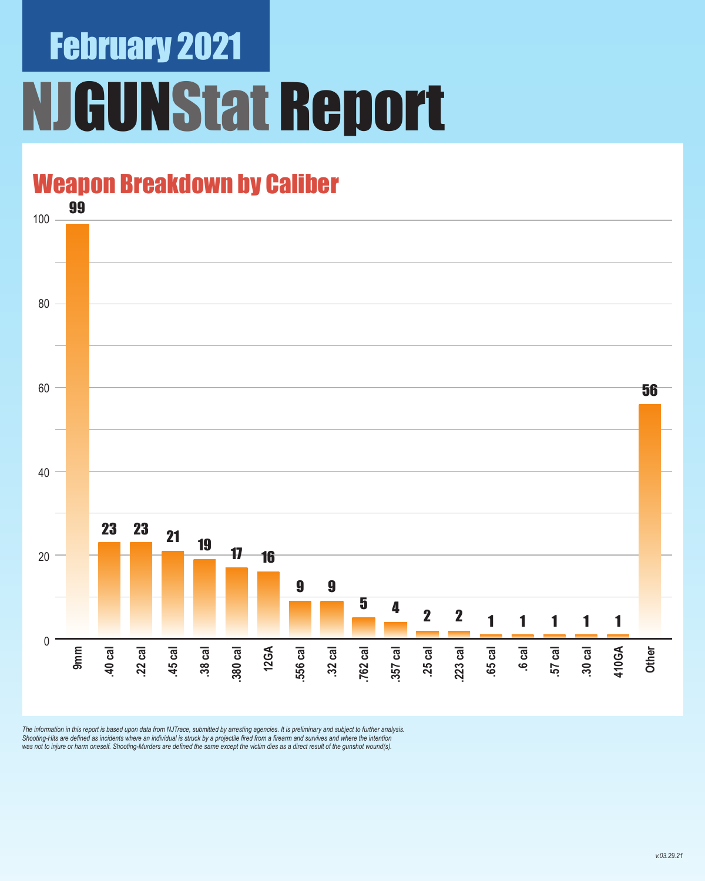# February 2021 **JGUNStat Report**

### Weapon Breakdown by Caliber



The information in this report is based upon data from NJTrace, submitted by arresting agencies. It is preliminary and subject to further analysis.<br>Shooting-Hits are defined as incidents where an individual is struck by a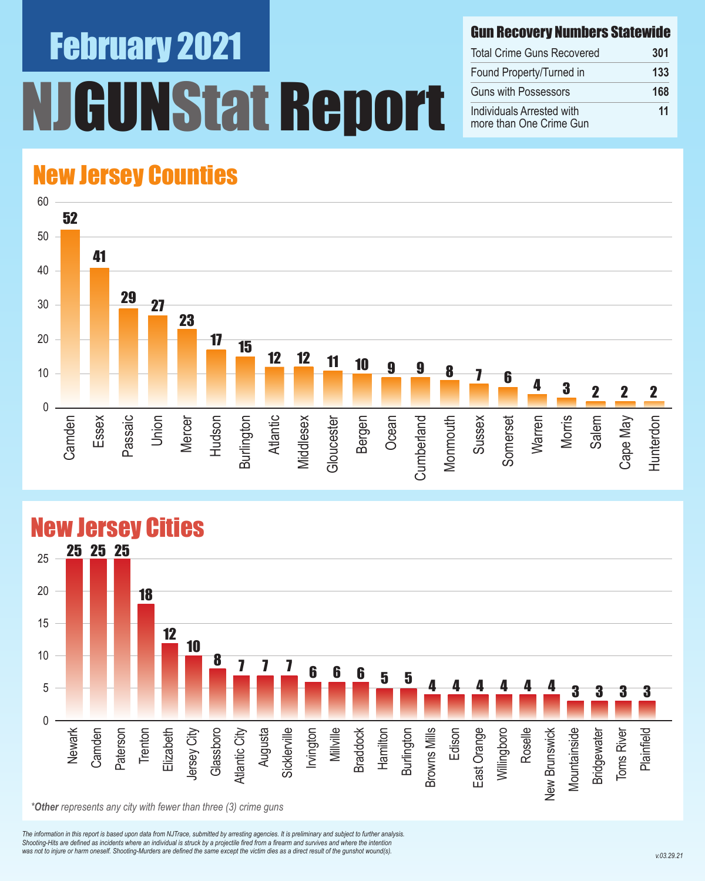# February 2021 UNStat Report

#### Gun Recovery Numbers Statewide

| <b>Total Crime Guns Recovered</b>                    | 301 |
|------------------------------------------------------|-----|
| Found Property/Turned in                             | 133 |
| <b>Guns with Possessors</b>                          | 168 |
| Individuals Arrested with<br>more than One Crime Gun | 11  |

### New Jersey Counties





#### New Jersey Cities

*The information in this report is based upon data from NJTrace, submitted by arresting agencies. It is preliminary and subject to further analysis. Shooting-Hits are defined as incidents where an individual is struck by a projectile fired from a firearm and survives and where the intention*  was not to injure or harm oneself. Shooting-Murders are defined the same except the victim dies as a direct result of the gunshot wound(s).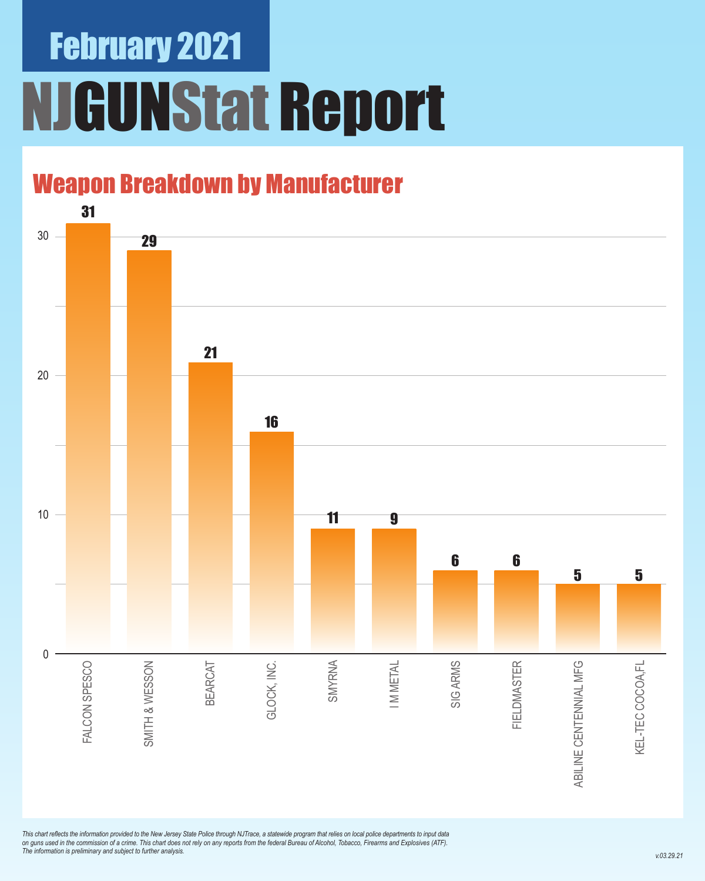# February 2021 NJGUNStat Report

### Weapon Breakdown by Manufacturer



*This chart reflects the information provided to the New Jersey State Police through NJTrace, a statewide program that relies on local police departments to input data on guns used in the commission of a crime. This chart does not rely on any reports from the federal Bureau of Alcohol, Tobacco, Firearms and Explosives (ATF). The information is preliminary and subject to further analysis.*